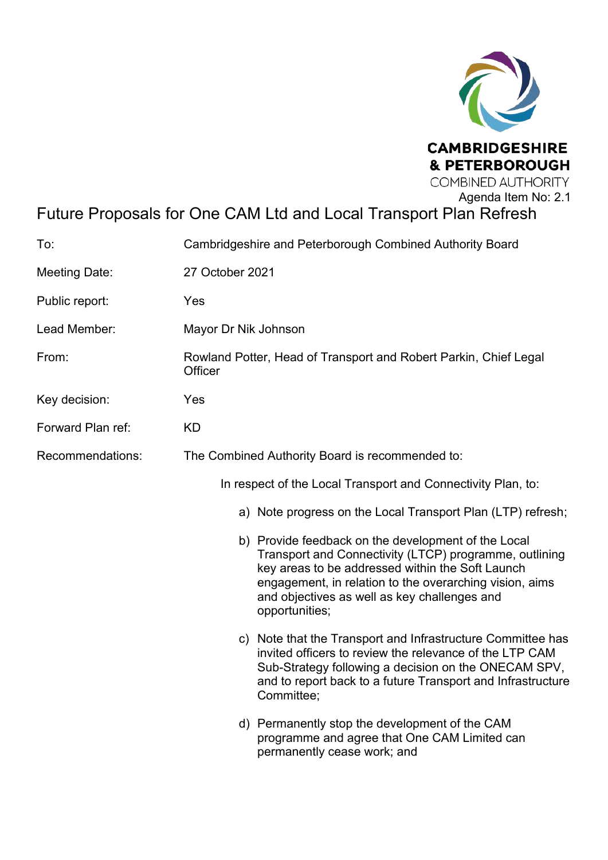

# Future Proposals for One CAM Ltd and Local Transport Plan Refresh

| To:                  | Cambridgeshire and Peterborough Combined Authority Board                                                                                                                                                                                                                                       |  |
|----------------------|------------------------------------------------------------------------------------------------------------------------------------------------------------------------------------------------------------------------------------------------------------------------------------------------|--|
| <b>Meeting Date:</b> | 27 October 2021                                                                                                                                                                                                                                                                                |  |
| Public report:       | Yes                                                                                                                                                                                                                                                                                            |  |
| Lead Member:         | Mayor Dr Nik Johnson                                                                                                                                                                                                                                                                           |  |
| From:                | Rowland Potter, Head of Transport and Robert Parkin, Chief Legal<br>Officer                                                                                                                                                                                                                    |  |
| Key decision:        | Yes                                                                                                                                                                                                                                                                                            |  |
| Forward Plan ref:    | <b>KD</b>                                                                                                                                                                                                                                                                                      |  |
| Recommendations:     | The Combined Authority Board is recommended to:                                                                                                                                                                                                                                                |  |
|                      | In respect of the Local Transport and Connectivity Plan, to:                                                                                                                                                                                                                                   |  |
|                      | a) Note progress on the Local Transport Plan (LTP) refresh;                                                                                                                                                                                                                                    |  |
|                      | b) Provide feedback on the development of the Local<br>Transport and Connectivity (LTCP) programme, outlining<br>key areas to be addressed within the Soft Launch<br>engagement, in relation to the overarching vision, aims<br>and objectives as well as key challenges and<br>opportunities; |  |
|                      | c) Note that the Transport and Infrastructure Committee has<br>invited officers to review the relevance of the LTP CAM<br>Sub-Strategy following a decision on the ONECAM SPV,<br>and to report back to a future Transport and Infrastructure<br>Committee;                                    |  |
|                      | d) Permanently stop the development of the CAM<br>programme and agree that One CAM Limited can<br>permanently cease work; and                                                                                                                                                                  |  |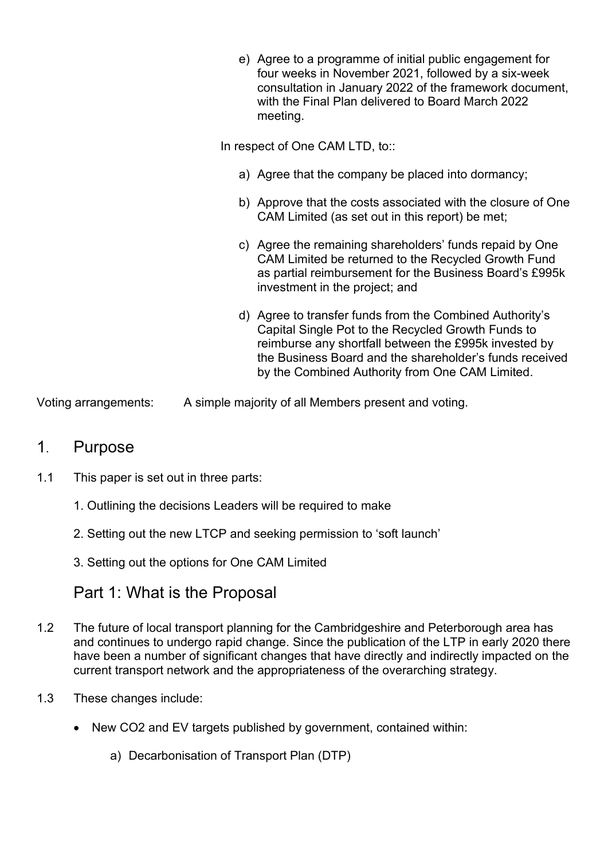| e) Agree to a programme of initial public engagement for<br>four weeks in November 2021, followed by a six-week<br>consultation in January 2022 of the framework document,<br>with the Final Plan delivered to Board March 2022<br>meeting.                                           |
|---------------------------------------------------------------------------------------------------------------------------------------------------------------------------------------------------------------------------------------------------------------------------------------|
| In respect of One CAM LTD, to::                                                                                                                                                                                                                                                       |
| a) Agree that the company be placed into dormancy;                                                                                                                                                                                                                                    |
| b) Approve that the costs associated with the closure of One<br>CAM Limited (as set out in this report) be met;                                                                                                                                                                       |
| c) Agree the remaining shareholders' funds repaid by One<br>CAM Limited be returned to the Recycled Growth Fund<br>as partial reimbursement for the Business Board's £995k<br>investment in the project; and                                                                          |
| d) Agree to transfer funds from the Combined Authority's<br>Capital Single Pot to the Recycled Growth Funds to<br>reimburse any shortfall between the £995k invested by<br>the Business Board and the shareholder's funds received<br>by the Combined Authority from One CAM Limited. |

Voting arrangements: A simple majority of all Members present and voting.

## 1. Purpose

- 1.1 This paper is set out in three parts:
	- 1. Outlining the decisions Leaders will be required to make
	- 2. Setting out the new LTCP and seeking permission to 'soft launch'
	- 3. Setting out the options for One CAM Limited

## Part 1: What is the Proposal

- 1.2 The future of local transport planning for the Cambridgeshire and Peterborough area has and continues to undergo rapid change. Since the publication of the LTP in early 2020 there have been a number of significant changes that have directly and indirectly impacted on the current transport network and the appropriateness of the overarching strategy.
- 1.3 These changes include:
	- New CO2 and EV targets published by government, contained within:
		- a) Decarbonisation of Transport Plan (DTP)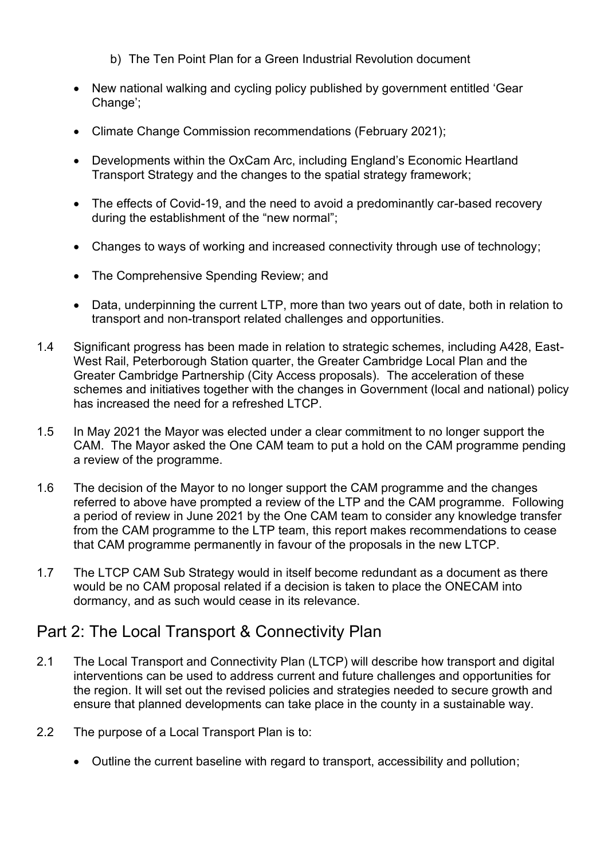- b) The Ten Point Plan for a Green Industrial Revolution document
- New national walking and cycling policy published by government entitled 'Gear Change':
- Climate Change Commission recommendations (February 2021);
- Developments within the OxCam Arc, including England's Economic Heartland Transport Strategy and the changes to the spatial strategy framework;
- The effects of Covid-19, and the need to avoid a predominantly car-based recovery during the establishment of the "new normal";
- Changes to ways of working and increased connectivity through use of technology;
- The Comprehensive Spending Review; and
- Data, underpinning the current LTP, more than two years out of date, both in relation to transport and non-transport related challenges and opportunities.
- 1.4 Significant progress has been made in relation to strategic schemes, including A428, East-West Rail, Peterborough Station quarter, the Greater Cambridge Local Plan and the Greater Cambridge Partnership (City Access proposals). The acceleration of these schemes and initiatives together with the changes in Government (local and national) policy has increased the need for a refreshed LTCP.
- 1.5 In May 2021 the Mayor was elected under a clear commitment to no longer support the CAM. The Mayor asked the One CAM team to put a hold on the CAM programme pending a review of the programme.
- 1.6 The decision of the Mayor to no longer support the CAM programme and the changes referred to above have prompted a review of the LTP and the CAM programme. Following a period of review in June 2021 by the One CAM team to consider any knowledge transfer from the CAM programme to the LTP team, this report makes recommendations to cease that CAM programme permanently in favour of the proposals in the new LTCP.
- 1.7 The LTCP CAM Sub Strategy would in itself become redundant as a document as there would be no CAM proposal related if a decision is taken to place the ONECAM into dormancy, and as such would cease in its relevance.

## Part 2: The Local Transport & Connectivity Plan

- 2.1 The Local Transport and Connectivity Plan (LTCP) will describe how transport and digital interventions can be used to address current and future challenges and opportunities for the region. It will set out the revised policies and strategies needed to secure growth and ensure that planned developments can take place in the county in a sustainable way.
- 2.2 The purpose of a Local Transport Plan is to:
	- Outline the current baseline with regard to transport, accessibility and pollution;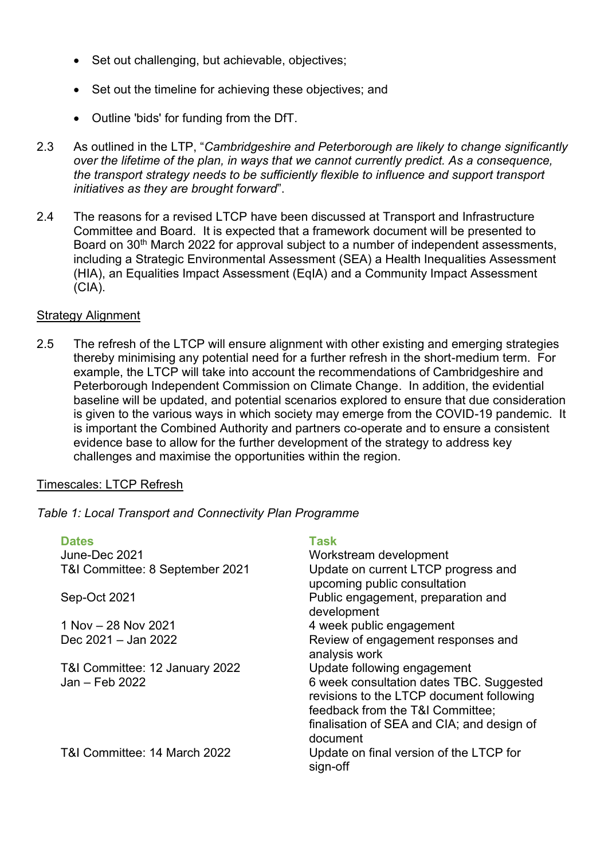- Set out challenging, but achievable, objectives;
- Set out the timeline for achieving these objectives; and
- Outline 'bids' for funding from the DfT.
- 2.3 As outlined in the LTP, "*Cambridgeshire and Peterborough are likely to change significantly over the lifetime of the plan, in ways that we cannot currently predict. As a consequence, the transport strategy needs to be sufficiently flexible to influence and support transport initiatives as they are brought forward*".
- 2.4 The reasons for a revised LTCP have been discussed at Transport and Infrastructure Committee and Board. It is expected that a framework document will be presented to Board on 30<sup>th</sup> March 2022 for approval subject to a number of independent assessments, including a Strategic Environmental Assessment (SEA) a Health Inequalities Assessment (HIA), an Equalities Impact Assessment (EqIA) and a Community Impact Assessment (CIA).

#### **Strategy Alignment**

2.5 The refresh of the LTCP will ensure alignment with other existing and emerging strategies thereby minimising any potential need for a further refresh in the short-medium term. For example, the LTCP will take into account the recommendations of Cambridgeshire and Peterborough Independent Commission on Climate Change. In addition, the evidential baseline will be updated, and potential scenarios explored to ensure that due consideration is given to the various ways in which society may emerge from the COVID-19 pandemic. It is important the Combined Authority and partners co-operate and to ensure a consistent evidence base to allow for the further development of the strategy to address key challenges and maximise the opportunities within the region.

#### Timescales: LTCP Refresh

*Table 1: Local Transport and Connectivity Plan Programme* 

### **Dates Contract Contract Contract Contract Contract Contract Contract Contract Contract Contract Contract Contract Contract Contract Contract Contract Contract Contract Contract Contract Contract Contract Contract Contract**

June-Dec 2021 T&I Committee: 8 September 2021

Sep-Oct 2021

1 Nov – 28 Nov 2021 Dec  $2021 -$  Jan  $2022$ 

T&I Committee: 12 January 2022  $Jan - Feb. 2022$ 

T&I Committee: 14 March 2022

| Workstream development                     |
|--------------------------------------------|
| Update on current LTCP progress and        |
| upcoming public consultation               |
| Public engagement, preparation and         |
| development                                |
| 4 week public engagement                   |
| Review of engagement responses and         |
| analysis work                              |
| Update following engagement                |
| 6 week consultation dates TBC. Suggested   |
| revisions to the LTCP document following   |
| feedback from the T&I Committee;           |
| finalisation of SEA and CIA; and design of |
| document                                   |
| Update on final version of the LTCP for    |
| sign-off                                   |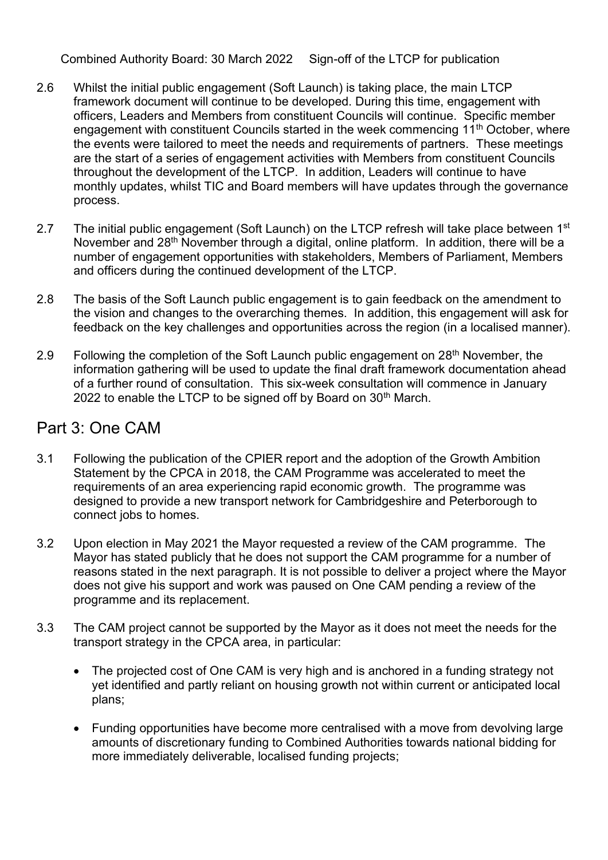Combined Authority Board: 30 March 2022 Sign-off of the LTCP for publication

- 2.6 Whilst the initial public engagement (Soft Launch) is taking place, the main LTCP framework document will continue to be developed. During this time, engagement with officers, Leaders and Members from constituent Councils will continue. Specific member engagement with constituent Councils started in the week commencing 11<sup>th</sup> October, where the events were tailored to meet the needs and requirements of partners. These meetings are the start of a series of engagement activities with Members from constituent Councils throughout the development of the LTCP. In addition, Leaders will continue to have monthly updates, whilst TIC and Board members will have updates through the governance process.
- 2.7 The initial public engagement (Soft Launch) on the LTCP refresh will take place between  $1<sup>st</sup>$ November and 28<sup>th</sup> November through a digital, online platform. In addition, there will be a number of engagement opportunities with stakeholders, Members of Parliament, Members and officers during the continued development of the LTCP.
- 2.8 The basis of the Soft Launch public engagement is to gain feedback on the amendment to the vision and changes to the overarching themes. In addition, this engagement will ask for feedback on the key challenges and opportunities across the region (in a localised manner).
- 2.9 Following the completion of the Soft Launch public engagement on 28<sup>th</sup> November, the information gathering will be used to update the final draft framework documentation ahead of a further round of consultation. This six-week consultation will commence in January 2022 to enable the LTCP to be signed off by Board on  $30<sup>th</sup>$  March.

## Part 3: One CAM

- 3.1 Following the publication of the CPIER report and the adoption of the Growth Ambition Statement by the CPCA in 2018, the CAM Programme was accelerated to meet the requirements of an area experiencing rapid economic growth. The programme was designed to provide a new transport network for Cambridgeshire and Peterborough to connect jobs to homes.
- 3.2 Upon election in May 2021 the Mayor requested a review of the CAM programme. The Mayor has stated publicly that he does not support the CAM programme for a number of reasons stated in the next paragraph. It is not possible to deliver a project where the Mayor does not give his support and work was paused on One CAM pending a review of the programme and its replacement.
- 3.3 The CAM project cannot be supported by the Mayor as it does not meet the needs for the transport strategy in the CPCA area, in particular:
	- The projected cost of One CAM is very high and is anchored in a funding strategy not yet identified and partly reliant on housing growth not within current or anticipated local plans;
	- Funding opportunities have become more centralised with a move from devolving large amounts of discretionary funding to Combined Authorities towards national bidding for more immediately deliverable, localised funding projects;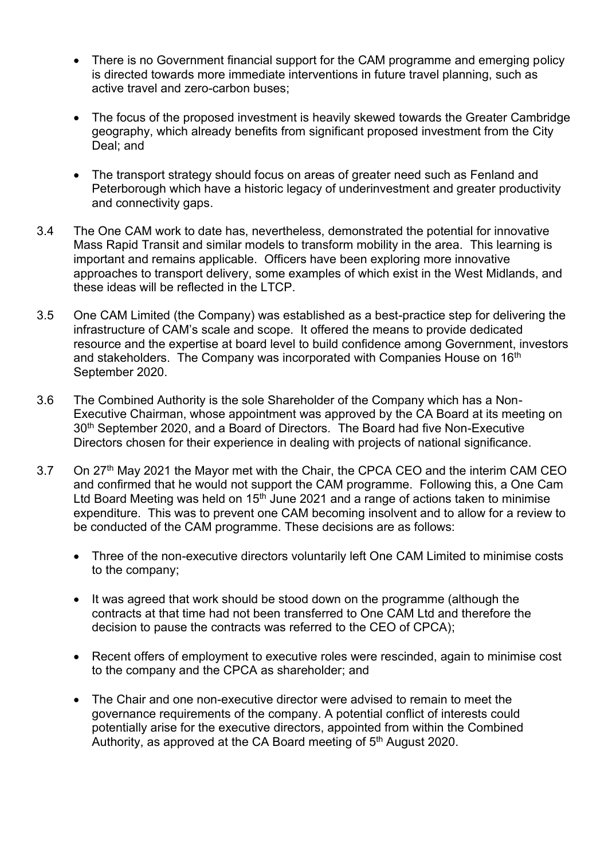- There is no Government financial support for the CAM programme and emerging policy is directed towards more immediate interventions in future travel planning, such as active travel and zero-carbon buses;
- The focus of the proposed investment is heavily skewed towards the Greater Cambridge geography, which already benefits from significant proposed investment from the City Deal; and
- The transport strategy should focus on areas of greater need such as Fenland and Peterborough which have a historic legacy of underinvestment and greater productivity and connectivity gaps.
- 3.4 The One CAM work to date has, nevertheless, demonstrated the potential for innovative Mass Rapid Transit and similar models to transform mobility in the area. This learning is important and remains applicable. Officers have been exploring more innovative approaches to transport delivery, some examples of which exist in the West Midlands, and these ideas will be reflected in the LTCP.
- 3.5 One CAM Limited (the Company) was established as a best-practice step for delivering the infrastructure of CAM's scale and scope. It offered the means to provide dedicated resource and the expertise at board level to build confidence among Government, investors and stakeholders. The Company was incorporated with Companies House on 16<sup>th</sup> September 2020.
- 3.6 The Combined Authority is the sole Shareholder of the Company which has a Non-Executive Chairman, whose appointment was approved by the CA Board at its meeting on 30<sup>th</sup> September 2020, and a Board of Directors. The Board had five Non-Executive Directors chosen for their experience in dealing with projects of national significance.
- 3.7 On 27<sup>th</sup> May 2021 the Mayor met with the Chair, the CPCA CEO and the interim CAM CEO and confirmed that he would not support the CAM programme. Following this, a One Cam Ltd Board Meeting was held on  $15<sup>th</sup>$  June 2021 and a range of actions taken to minimise expenditure. This was to prevent one CAM becoming insolvent and to allow for a review to be conducted of the CAM programme. These decisions are as follows:
	- Three of the non-executive directors voluntarily left One CAM Limited to minimise costs to the company;
	- It was agreed that work should be stood down on the programme (although the contracts at that time had not been transferred to One CAM Ltd and therefore the decision to pause the contracts was referred to the CEO of CPCA);
	- Recent offers of employment to executive roles were rescinded, again to minimise cost to the company and the CPCA as shareholder; and
	- The Chair and one non-executive director were advised to remain to meet the governance requirements of the company. A potential conflict of interests could potentially arise for the executive directors, appointed from within the Combined Authority, as approved at the CA Board meeting of 5<sup>th</sup> August 2020.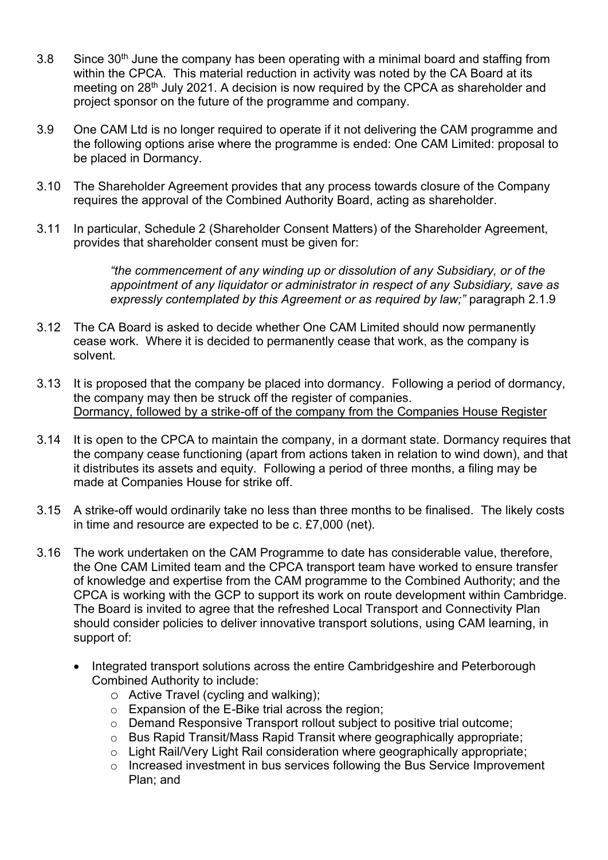- $3.8$  Since  $30<sup>th</sup>$  June the company has been operating with a minimal board and staffing from within the CPCA. This material reduction in activity was noted by the CA Board at its meeting on 28th July 2021. A decision is now required by the CPCA as shareholder and project sponsor on the future of the programme and company.
- 3.9 One CAM Ltd is no longer required to operate if it not delivering the CAM programme and the following options arise where the programme is ended: One CAM Limited: proposal to be placed in Dormancy.
- 3.10 The Shareholder Agreement provides that any process towards closure of the Company requires the approval of the Combined Authority Board, acting as shareholder.
- 3.11 In particular, Schedule 2 (Shareholder Consent Matters) of the Shareholder Agreement, provides that shareholder consent must be given for:

*"the commencement of any winding up or dissolution of any Subsidiary, or of the appointment of any liquidator or administrator in respect of any Subsidiary, save as expressly contemplated by this Agreement or as required by law;"* paragraph 2.1.9

- 3.12 The CA Board is asked to decide whether One CAM Limited should now permanently cease work. Where it is decided to permanently cease that work, as the company is solvent.
- 3.13 It is proposed that the company be placed into dormancy. Following a period of dormancy, the company may then be struck off the register of companies. Dormancy, followed by a strike-off of the company from the Companies House Register
- 3.14 It is open to the CPCA to maintain the company, in a dormant state. Dormancy requires that the company cease functioning (apart from actions taken in relation to wind down), and that it distributes its assets and equity. Following a period of three months, a filing may be made at Companies House for strike off.
- 3.15 A strike-off would ordinarily take no less than three months to be finalised. The likely costs in time and resource are expected to be c. £7,000 (net).
- 3.16 The work undertaken on the CAM Programme to date has considerable value, therefore, the One CAM Limited team and the CPCA transport team have worked to ensure transfer of knowledge and expertise from the CAM programme to the Combined Authority; and the CPCA is working with the GCP to support its work on route development within Cambridge. The Board is invited to agree that the refreshed Local Transport and Connectivity Plan should consider policies to deliver innovative transport solutions, using CAM learning, in support of:
	- Integrated transport solutions across the entire Cambridgeshire and Peterborough Combined Authority to include:
		- o Active Travel (cycling and walking);
		- o Expansion of the E-Bike trial across the region;
		- o Demand Responsive Transport rollout subject to positive trial outcome;
		- o Bus Rapid Transit/Mass Rapid Transit where geographically appropriate;
		- o Light Rail/Very Light Rail consideration where geographically appropriate;
		- o Increased investment in bus services following the Bus Service Improvement Plan; and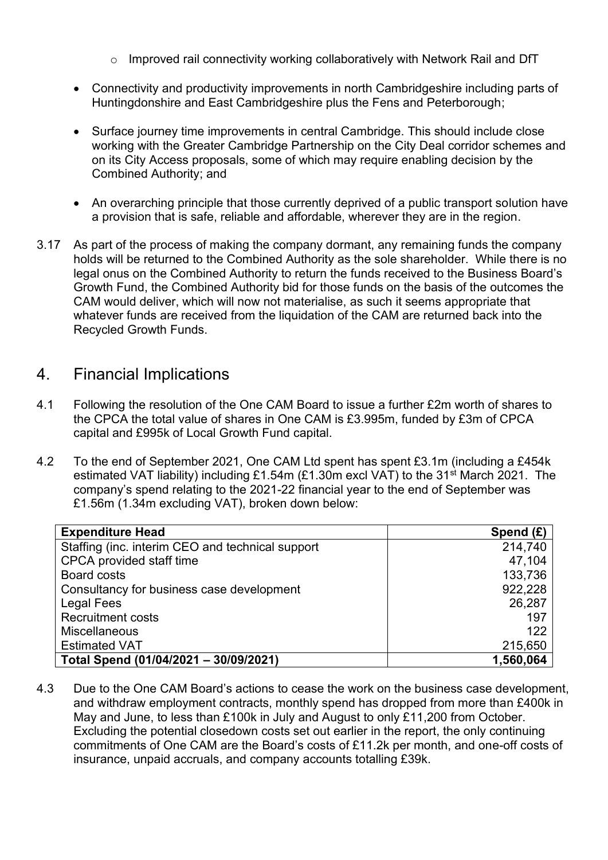- o Improved rail connectivity working collaboratively with Network Rail and DfT
- Connectivity and productivity improvements in north Cambridgeshire including parts of Huntingdonshire and East Cambridgeshire plus the Fens and Peterborough;
- Surface journey time improvements in central Cambridge. This should include close working with the Greater Cambridge Partnership on the City Deal corridor schemes and on its City Access proposals, some of which may require enabling decision by the Combined Authority; and
- An overarching principle that those currently deprived of a public transport solution have a provision that is safe, reliable and affordable, wherever they are in the region.
- 3.17 As part of the process of making the company dormant, any remaining funds the company holds will be returned to the Combined Authority as the sole shareholder. While there is no legal onus on the Combined Authority to return the funds received to the Business Board's Growth Fund, the Combined Authority bid for those funds on the basis of the outcomes the CAM would deliver, which will now not materialise, as such it seems appropriate that whatever funds are received from the liquidation of the CAM are returned back into the Recycled Growth Funds.

## 4. Financial Implications

- 4.1 Following the resolution of the One CAM Board to issue a further £2m worth of shares to the CPCA the total value of shares in One CAM is £3.995m, funded by £3m of CPCA capital and £995k of Local Growth Fund capital.
- 4.2 To the end of September 2021, One CAM Ltd spent has spent £3.1m (including a £454k estimated VAT liability) including £1.54m (£1.30m excl VAT) to the 31<sup>st</sup> March 2021. The company's spend relating to the 2021-22 financial year to the end of September was £1.56m (1.34m excluding VAT), broken down below:

| <b>Expenditure Head</b>                          | Spend $(E)$ |
|--------------------------------------------------|-------------|
| Staffing (inc. interim CEO and technical support | 214,740     |
| CPCA provided staff time                         | 47,104      |
| <b>Board costs</b>                               | 133,736     |
| Consultancy for business case development        | 922,228     |
| <b>Legal Fees</b>                                | 26,287      |
| <b>Recruitment costs</b>                         | 197         |
| <b>Miscellaneous</b>                             | 122         |
| <b>Estimated VAT</b>                             | 215,650     |
| Total Spend (01/04/2021 - 30/09/2021)            | 1,560,064   |

4.3 Due to the One CAM Board's actions to cease the work on the business case development, and withdraw employment contracts, monthly spend has dropped from more than £400k in May and June, to less than £100k in July and August to only £11,200 from October. Excluding the potential closedown costs set out earlier in the report, the only continuing commitments of One CAM are the Board's costs of £11.2k per month, and one-off costs of insurance, unpaid accruals, and company accounts totalling £39k.